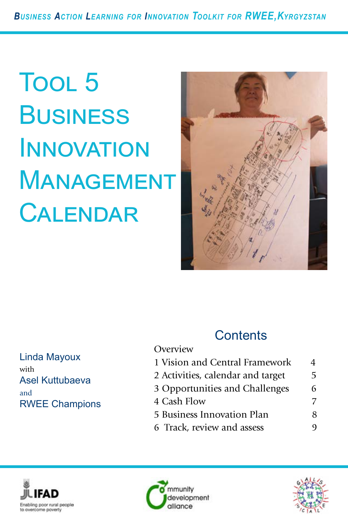## Tool 5 **BUSINESS INNOVATION MANAGEMENT CALENDAR**



Linda Mayoux with Asel Kuttubaeva and RWEE Champions

### **Contents**

#### **[Overview](#page-2-0)**

- [1 Vision and Central Framework](#page-3-0) 4 [2 Activities, calendar and target 5](#page-4-0)
- [3 Opportunities and Challenges 6](#page-5-0)
- [4 Cash Flow 7](#page-6-0)
- [5 Business Innovation Plan 8](#page-7-0)
- [6 Track, review and assess 9](#page-8-0)





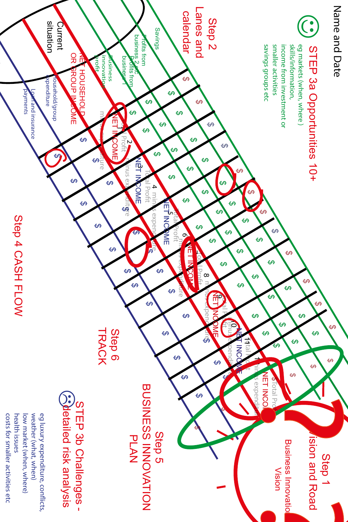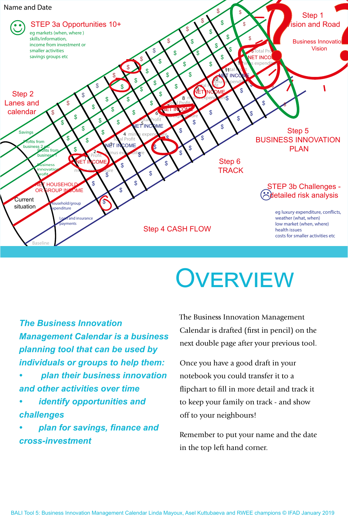<span id="page-2-0"></span>![](_page_2_Figure_0.jpeg)

### **OVERVIEW**

*The Business Innovation Management Calendar is a business planning tool that can be used by individuals or groups to help them:*

- *plan their business innovation and other activities over time*
- *• identify opportunities and challenges*
- *• plan for savings, finance and cross-investment*

The Business Innovation Management Calendar is drafted (first in pencil) on the next double page after your previous tool.

Once you have a good draft in your notebook you could transfer it to a flipchart to fill in more detail and track it to keep your family on track - and show off to your neighbours!

Remember to put your name and the date in the top left hand corner.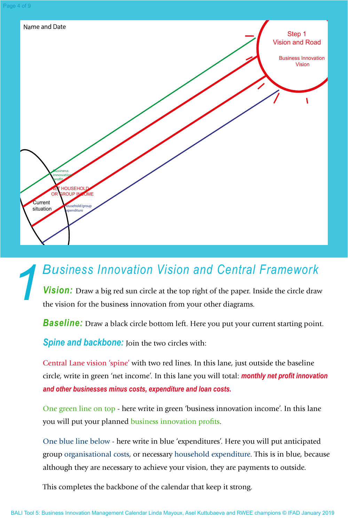<span id="page-3-0"></span>![](_page_3_Figure_1.jpeg)

### *1 Business Innovation Vision and Central Framework*

*Vision:* Draw a big red sun circle at the top right of the paper. Inside the circle draw the vision for the business innovation from your other diagrams.

*Baseline:* Draw a black circle bottom left. Here you put your current starting point.

*Spine and backbone:* Join the two circles with:

Central Lane vision 'spine' with two red lines. In this lane, just outside the baseline circle, write in green 'net income'. In this lane you will total: *monthly net profit innovation and other businesses minus costs, expenditure and loan costs.*

One green line on top - here write in green 'business innovation income'. In this lane you will put your planned business innovation profits.

One blue line below - here write in blue 'expenditures'. Here you will put anticipated group organisational costs, or necessary household expenditure. This is in blue, because although they are necessary to achieve your vision, they are payments to outside.

This completes the backbone of the calendar that keep it strong.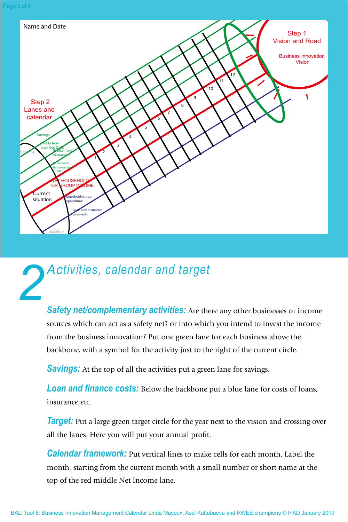<span id="page-4-0"></span>![](_page_4_Figure_1.jpeg)

# *2 Activities, calendar and target*

**Safety net/complementary activities:** Are there any other businesses or income sources which can act as a safety net? or into which you intend to invest the income from the business innovation? Put one green lane for each business above the backbone, with a symbol for the activity just to the right of the current circle.

*Savings:* At the top of all the activities put a green lane for savings.

*Loan and finance costs:* Below the backbone put a blue lane for costs of loans, insurance etc.

*Target:* Put a large green target circle for the year next to the vision and crossing over all the lanes. Here you will put your annual profit.

*Calendar framework:* Put vertical lines to make cells for each month. Label the month, starting from the current month with a small number or short name at the top of the red middle Net Income lane.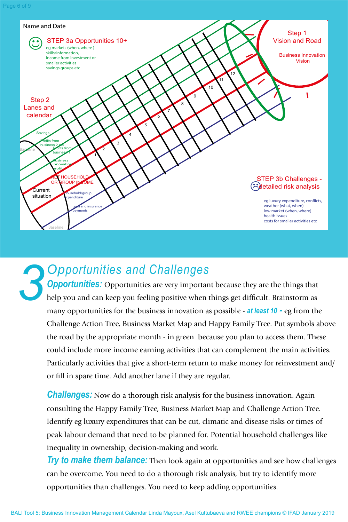<span id="page-5-0"></span>![](_page_5_Figure_1.jpeg)

*3 Opportunities and Challenges* **Opportunities:** Opportunities are very important because they are the things that help you and can keep you feeling positive when things get difficult. Brainstorm as many opportunities for the business innovation as possible - *at least 10 -* eg from the Challenge Action Tree, Business Market Map and Happy Family Tree. Put symbols above the road by the appropriate month - in green because you plan to access them. These could include more income earning activities that can complement the main activities. Particularly activities that give a short-term return to make money for reinvestment and/ or fill in spare time. Add another lane if they are regular.

**Challenges:** Now do a thorough risk analysis for the business innovation. Again consulting the Happy Family Tree, Business Market Map and Challenge Action Tree. Identify eg luxury expenditures that can be cut, climatic and disease risks or times of peak labour demand that need to be planned for. Potential household challenges like inequality in ownership, decision-making and work.

*Try to make them balance:* Then look again at opportunities and see how challenges can be overcome. You need to do a thorough risk analysis, but try to identify more opportunities than challenges. You need to keep adding opportunities.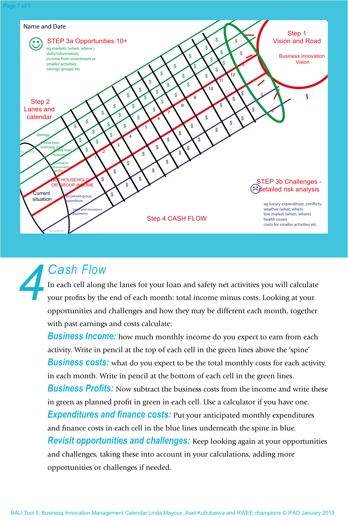<span id="page-6-0"></span>![](_page_6_Figure_1.jpeg)

### *4 Cash Flow*

In each cell along the lanes for your loan and safety net activities you will calculate your profits by the end of each month: total income minus costs. Looking at your opportunities and challenges and how they may be different each month, together with past earnings and costs calculate:

*Business Income:* how much monthly income do you expect to earn from each activity. Write in pencil at the top of each cell in the green lines above the 'spine' *Business costs:* what do you expect to be the total monthly costs for each activity. in each month. Write in pencil at the bottom of each cell in the green lines. **Business Profits:** Now subtract the business costs from the income and write these in green as planned profit in green in each cell. Use a calculator if you have one. **Expenditures and finance costs:** Put your anticipated monthly expenditures and finance costs in each cell in the blue lines underneath the spine in blue. *Revisit opportunities and challenges:* Keep looking again at your opportunities and challenges, taking these into account in your calculations, adding more opportunities or challenges if needed.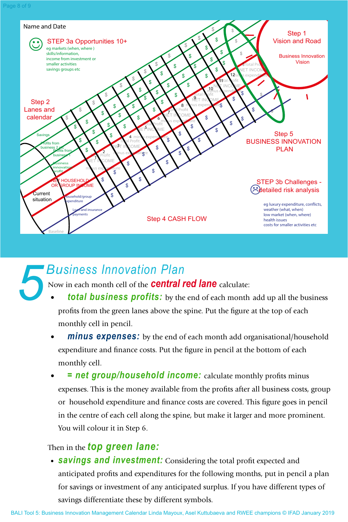<span id="page-7-0"></span>![](_page_7_Figure_1.jpeg)

### *5 Business Innovation Plan*

Now in each month cell of the *central red lane* calculate:

- *total business profits:* by the end of each month add up all the business profits from the green lanes above the spine. Put the figure at the top of each monthly cell in pencil.
- *minus expenses:* by the end of each month add organisational/household expenditure and finance costs. Put the figure in pencil at the bottom of each monthly cell.
- *= net group/household income:* calculate monthly profits minus expenses. This is the money available from the profits after all business costs, group or household expenditure and finance costs are covered. This figure goes in pencil in the centre of each cell along the spine, but make it larger and more prominent. You will colour it in Step 6.

### Then in the *top green lane:*

• *savings and investment:* Considering the total profit expected and anticipated profits and expenditures for the following months, put in pencil a plan for savings or investment of any anticipated surplus. If you have different types of savings differentiate these by different symbols.